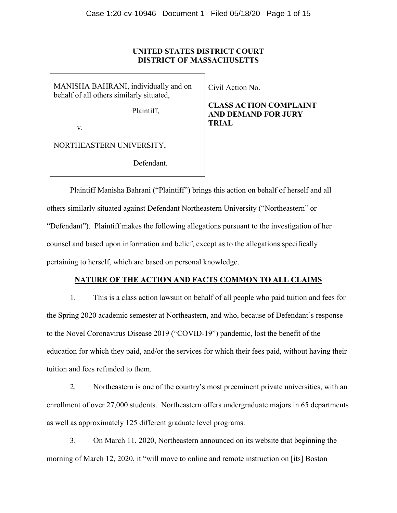# **UNITED STATES DISTRICT COURT DISTRICT OF MASSACHUSETTS**

MANISHA BAHRANI, individually and on behalf of all others similarly situated,

Plaintiff,

v.

NORTHEASTERN UNIVERSITY,

Defendant.

Civil Action No.

**CLASS ACTION COMPLAINT AND DEMAND FOR JURY TRIAL** 

Plaintiff Manisha Bahrani ("Plaintiff") brings this action on behalf of herself and all others similarly situated against Defendant Northeastern University ("Northeastern" or "Defendant"). Plaintiff makes the following allegations pursuant to the investigation of her counsel and based upon information and belief, except as to the allegations specifically pertaining to herself, which are based on personal knowledge.

# **NATURE OF THE ACTION AND FACTS COMMON TO ALL CLAIMS**

1. This is a class action lawsuit on behalf of all people who paid tuition and fees for the Spring 2020 academic semester at Northeastern, and who, because of Defendant's response to the Novel Coronavirus Disease 2019 ("COVID-19") pandemic, lost the benefit of the education for which they paid, and/or the services for which their fees paid, without having their tuition and fees refunded to them.

2. Northeastern is one of the country's most preeminent private universities, with an enrollment of over 27,000 students. Northeastern offers undergraduate majors in 65 departments as well as approximately 125 different graduate level programs.

3. On March 11, 2020, Northeastern announced on its website that beginning the morning of March 12, 2020, it "will move to online and remote instruction on [its] Boston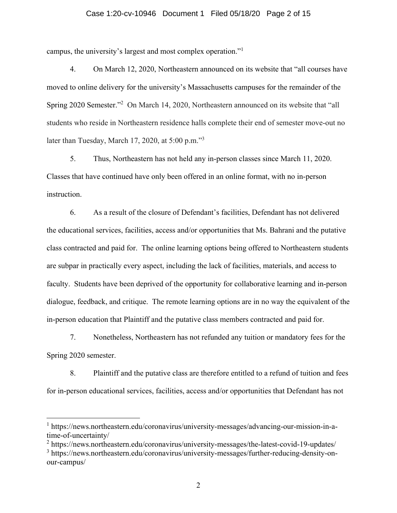#### Case 1:20-cv-10946 Document 1 Filed 05/18/20 Page 2 of 15

campus, the university's largest and most complex operation."1

4. On March 12, 2020, Northeastern announced on its website that "all courses have moved to online delivery for the university's Massachusetts campuses for the remainder of the Spring 2020 Semester."<sup>2</sup> On March 14, 2020, Northeastern announced on its website that "all students who reside in Northeastern residence halls complete their end of semester move-out no later than Tuesday, March 17, 2020, at 5:00 p.m."<sup>3</sup>

5. Thus, Northeastern has not held any in-person classes since March 11, 2020. Classes that have continued have only been offered in an online format, with no in-person instruction.

6. As a result of the closure of Defendant's facilities, Defendant has not delivered the educational services, facilities, access and/or opportunities that Ms. Bahrani and the putative class contracted and paid for. The online learning options being offered to Northeastern students are subpar in practically every aspect, including the lack of facilities, materials, and access to faculty. Students have been deprived of the opportunity for collaborative learning and in-person dialogue, feedback, and critique. The remote learning options are in no way the equivalent of the in-person education that Plaintiff and the putative class members contracted and paid for.

7. Nonetheless, Northeastern has not refunded any tuition or mandatory fees for the Spring 2020 semester.

8. Plaintiff and the putative class are therefore entitled to a refund of tuition and fees for in-person educational services, facilities, access and/or opportunities that Defendant has not

<sup>2</sup> https://news.northeastern.edu/coronavirus/university-messages/the-latest-covid-19-updates/

<sup>&</sup>lt;sup>1</sup> https://news.northeastern.edu/coronavirus/university-messages/advancing-our-mission-in-atime-of-uncertainty/

<sup>&</sup>lt;sup>3</sup> https://news.northeastern.edu/coronavirus/university-messages/further-reducing-density-onour-campus/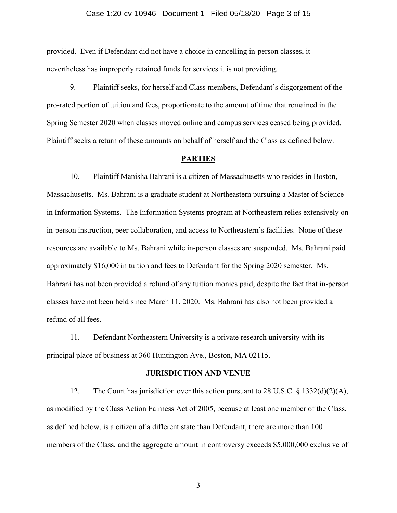#### Case 1:20-cv-10946 Document 1 Filed 05/18/20 Page 3 of 15

provided. Even if Defendant did not have a choice in cancelling in-person classes, it nevertheless has improperly retained funds for services it is not providing.

9. Plaintiff seeks, for herself and Class members, Defendant's disgorgement of the pro-rated portion of tuition and fees, proportionate to the amount of time that remained in the Spring Semester 2020 when classes moved online and campus services ceased being provided. Plaintiff seeks a return of these amounts on behalf of herself and the Class as defined below.

#### **PARTIES**

10. Plaintiff Manisha Bahrani is a citizen of Massachusetts who resides in Boston, Massachusetts. Ms. Bahrani is a graduate student at Northeastern pursuing a Master of Science in Information Systems. The Information Systems program at Northeastern relies extensively on in-person instruction, peer collaboration, and access to Northeastern's facilities. None of these resources are available to Ms. Bahrani while in-person classes are suspended. Ms. Bahrani paid approximately \$16,000 in tuition and fees to Defendant for the Spring 2020 semester. Ms. Bahrani has not been provided a refund of any tuition monies paid, despite the fact that in-person classes have not been held since March 11, 2020. Ms. Bahrani has also not been provided a refund of all fees.

11. Defendant Northeastern University is a private research university with its principal place of business at 360 Huntington Ave., Boston, MA 02115.

#### **JURISDICTION AND VENUE**

12. The Court has jurisdiction over this action pursuant to 28 U.S.C. § 1332(d)(2)(A), as modified by the Class Action Fairness Act of 2005, because at least one member of the Class, as defined below, is a citizen of a different state than Defendant, there are more than 100 members of the Class, and the aggregate amount in controversy exceeds \$5,000,000 exclusive of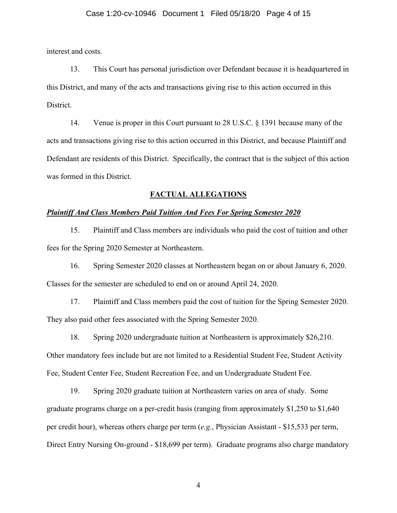#### Case 1:20-cv-10946 Document 1 Filed 05/18/20 Page 4 of 15

interest and costs.

13. This Court has personal jurisdiction over Defendant because it is headquartered in this District, and many of the acts and transactions giving rise to this action occurred in this District.

14. Venue is proper in this Court pursuant to 28 U.S.C. § 1391 because many of the acts and transactions giving rise to this action occurred in this District, and because Plaintiff and Defendant are residents of this District. Specifically, the contract that is the subject of this action was formed in this District.

#### **FACTUAL ALLEGATIONS**

#### *Plaintiff And Class Members Paid Tuition And Fees For Spring Semester 2020*

15. Plaintiff and Class members are individuals who paid the cost of tuition and other fees for the Spring 2020 Semester at Northeastern.

16. Spring Semester 2020 classes at Northeastern began on or about January 6, 2020. Classes for the semester are scheduled to end on or around April 24, 2020.

17. Plaintiff and Class members paid the cost of tuition for the Spring Semester 2020. They also paid other fees associated with the Spring Semester 2020.

18. Spring 2020 undergraduate tuition at Northeastern is approximately \$26,210. Other mandatory fees include but are not limited to a Residential Student Fee, Student Activity Fee, Student Center Fee, Student Recreation Fee, and un Undergraduate Student Fee.

19. Spring 2020 graduate tuition at Northeastern varies on area of study. Some graduate programs charge on a per-credit basis (ranging from approximately \$1,250 to \$1,640 per credit hour), whereas others charge per term (*e.g.*, Physician Assistant - \$15,533 per term, Direct Entry Nursing On-ground - \$18,699 per term). Graduate programs also charge mandatory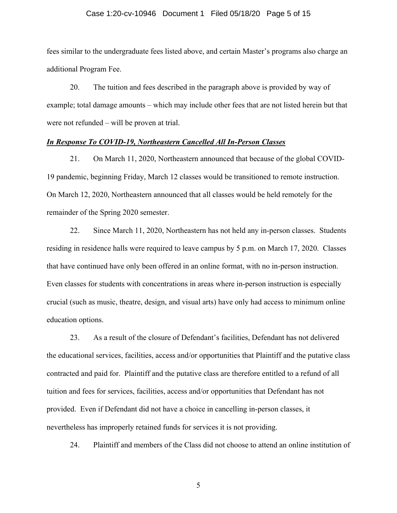#### Case 1:20-cv-10946 Document 1 Filed 05/18/20 Page 5 of 15

fees similar to the undergraduate fees listed above, and certain Master's programs also charge an additional Program Fee.

20. The tuition and fees described in the paragraph above is provided by way of example; total damage amounts – which may include other fees that are not listed herein but that were not refunded – will be proven at trial.

### *In Response To COVID-19, Northeastern Cancelled All In-Person Classes*

21. On March 11, 2020, Northeastern announced that because of the global COVID-19 pandemic, beginning Friday, March 12 classes would be transitioned to remote instruction. On March 12, 2020, Northeastern announced that all classes would be held remotely for the remainder of the Spring 2020 semester.

22. Since March 11, 2020, Northeastern has not held any in-person classes. Students residing in residence halls were required to leave campus by 5 p.m. on March 17, 2020. Classes that have continued have only been offered in an online format, with no in-person instruction. Even classes for students with concentrations in areas where in-person instruction is especially crucial (such as music, theatre, design, and visual arts) have only had access to minimum online education options.

23. As a result of the closure of Defendant's facilities, Defendant has not delivered the educational services, facilities, access and/or opportunities that Plaintiff and the putative class contracted and paid for. Plaintiff and the putative class are therefore entitled to a refund of all tuition and fees for services, facilities, access and/or opportunities that Defendant has not provided. Even if Defendant did not have a choice in cancelling in-person classes, it nevertheless has improperly retained funds for services it is not providing.

24. Plaintiff and members of the Class did not choose to attend an online institution of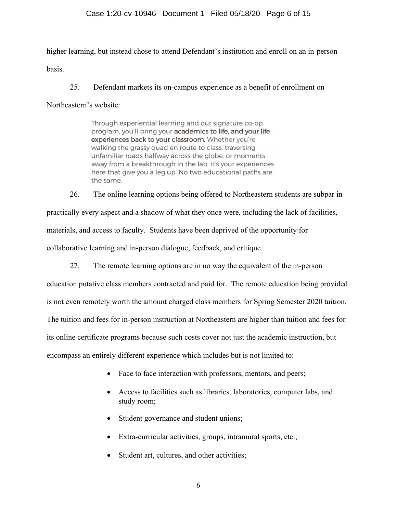higher learning, but instead chose to attend Defendant's institution and enroll on an in-person basis.

25. Defendant markets its on-campus experience as a benefit of enrollment on

Northeastern's website:

Through experiential learning and our signature co-op program, you'll bring your academics to life, and your life experiences back to your classroom. Whether you're walking the grassy quad en route to class, traversing unfamiliar roads halfway across the globe, or moments away from a breakthrough in the lab, it's your experiences here that give you a leg up. No two educational paths are the same.

26. The online learning options being offered to Northeastern students are subpar in practically every aspect and a shadow of what they once were, including the lack of facilities, materials, and access to faculty. Students have been deprived of the opportunity for collaborative learning and in-person dialogue, feedback, and critique.

27. The remote learning options are in no way the equivalent of the in-person

education putative class members contracted and paid for. The remote education being provided is not even remotely worth the amount charged class members for Spring Semester 2020 tuition. The tuition and fees for in-person instruction at Northeastern are higher than tuition and fees for its online certificate programs because such costs cover not just the academic instruction, but encompass an entirely different experience which includes but is not limited to:

- Face to face interaction with professors, mentors, and peers;
- Access to facilities such as libraries, laboratories, computer labs, and study room;
- Student governance and student unions;
- Extra-curricular activities, groups, intramural sports, etc.;
- Student art, cultures, and other activities;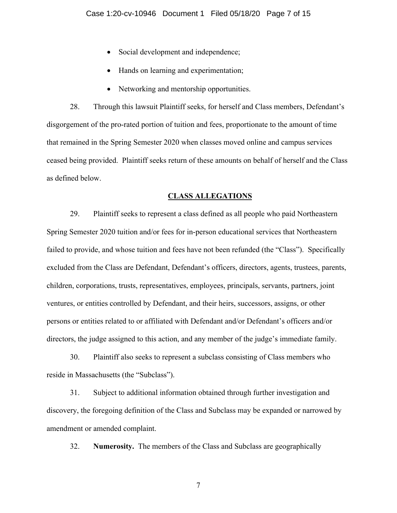- Social development and independence;
- Hands on learning and experimentation;
- Networking and mentorship opportunities.

28. Through this lawsuit Plaintiff seeks, for herself and Class members, Defendant's disgorgement of the pro-rated portion of tuition and fees, proportionate to the amount of time that remained in the Spring Semester 2020 when classes moved online and campus services ceased being provided. Plaintiff seeks return of these amounts on behalf of herself and the Class as defined below.

## **CLASS ALLEGATIONS**

29. Plaintiff seeks to represent a class defined as all people who paid Northeastern Spring Semester 2020 tuition and/or fees for in-person educational services that Northeastern failed to provide, and whose tuition and fees have not been refunded (the "Class"). Specifically excluded from the Class are Defendant, Defendant's officers, directors, agents, trustees, parents, children, corporations, trusts, representatives, employees, principals, servants, partners, joint ventures, or entities controlled by Defendant, and their heirs, successors, assigns, or other persons or entities related to or affiliated with Defendant and/or Defendant's officers and/or directors, the judge assigned to this action, and any member of the judge's immediate family.

30. Plaintiff also seeks to represent a subclass consisting of Class members who reside in Massachusetts (the "Subclass").

31. Subject to additional information obtained through further investigation and discovery, the foregoing definition of the Class and Subclass may be expanded or narrowed by amendment or amended complaint.

32. **Numerosity.** The members of the Class and Subclass are geographically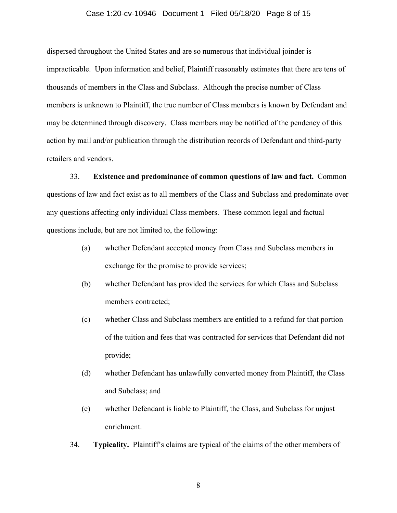#### Case 1:20-cv-10946 Document 1 Filed 05/18/20 Page 8 of 15

dispersed throughout the United States and are so numerous that individual joinder is impracticable. Upon information and belief, Plaintiff reasonably estimates that there are tens of thousands of members in the Class and Subclass. Although the precise number of Class members is unknown to Plaintiff, the true number of Class members is known by Defendant and may be determined through discovery. Class members may be notified of the pendency of this action by mail and/or publication through the distribution records of Defendant and third-party retailers and vendors.

33. **Existence and predominance of common questions of law and fact.** Common questions of law and fact exist as to all members of the Class and Subclass and predominate over any questions affecting only individual Class members. These common legal and factual questions include, but are not limited to, the following:

- (a) whether Defendant accepted money from Class and Subclass members in exchange for the promise to provide services;
- (b) whether Defendant has provided the services for which Class and Subclass members contracted;
- (c) whether Class and Subclass members are entitled to a refund for that portion of the tuition and fees that was contracted for services that Defendant did not provide;
- (d) whether Defendant has unlawfully converted money from Plaintiff, the Class and Subclass; and
- (e) whether Defendant is liable to Plaintiff, the Class, and Subclass for unjust enrichment.
- 34. **Typicality.** Plaintiff's claims are typical of the claims of the other members of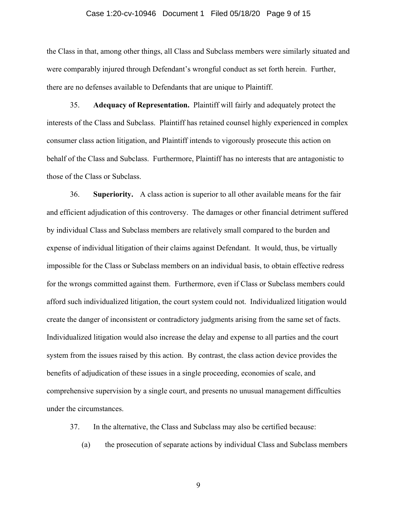#### Case 1:20-cv-10946 Document 1 Filed 05/18/20 Page 9 of 15

the Class in that, among other things, all Class and Subclass members were similarly situated and were comparably injured through Defendant's wrongful conduct as set forth herein. Further, there are no defenses available to Defendants that are unique to Plaintiff.

35. **Adequacy of Representation.** Plaintiff will fairly and adequately protect the interests of the Class and Subclass. Plaintiff has retained counsel highly experienced in complex consumer class action litigation, and Plaintiff intends to vigorously prosecute this action on behalf of the Class and Subclass. Furthermore, Plaintiff has no interests that are antagonistic to those of the Class or Subclass.

36. **Superiority.** A class action is superior to all other available means for the fair and efficient adjudication of this controversy. The damages or other financial detriment suffered by individual Class and Subclass members are relatively small compared to the burden and expense of individual litigation of their claims against Defendant. It would, thus, be virtually impossible for the Class or Subclass members on an individual basis, to obtain effective redress for the wrongs committed against them. Furthermore, even if Class or Subclass members could afford such individualized litigation, the court system could not. Individualized litigation would create the danger of inconsistent or contradictory judgments arising from the same set of facts. Individualized litigation would also increase the delay and expense to all parties and the court system from the issues raised by this action. By contrast, the class action device provides the benefits of adjudication of these issues in a single proceeding, economies of scale, and comprehensive supervision by a single court, and presents no unusual management difficulties under the circumstances.

37. In the alternative, the Class and Subclass may also be certified because:

(a) the prosecution of separate actions by individual Class and Subclass members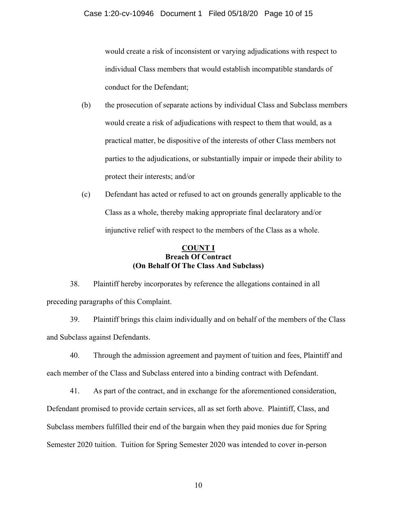would create a risk of inconsistent or varying adjudications with respect to individual Class members that would establish incompatible standards of conduct for the Defendant;

- (b) the prosecution of separate actions by individual Class and Subclass members would create a risk of adjudications with respect to them that would, as a practical matter, be dispositive of the interests of other Class members not parties to the adjudications, or substantially impair or impede their ability to protect their interests; and/or
- (c) Defendant has acted or refused to act on grounds generally applicable to the Class as a whole, thereby making appropriate final declaratory and/or injunctive relief with respect to the members of the Class as a whole.

# **COUNT I Breach Of Contract (On Behalf Of The Class And Subclass)**

38. Plaintiff hereby incorporates by reference the allegations contained in all preceding paragraphs of this Complaint.

39. Plaintiff brings this claim individually and on behalf of the members of the Class and Subclass against Defendants.

40. Through the admission agreement and payment of tuition and fees, Plaintiff and each member of the Class and Subclass entered into a binding contract with Defendant.

41. As part of the contract, and in exchange for the aforementioned consideration, Defendant promised to provide certain services, all as set forth above. Plaintiff, Class, and Subclass members fulfilled their end of the bargain when they paid monies due for Spring Semester 2020 tuition. Tuition for Spring Semester 2020 was intended to cover in-person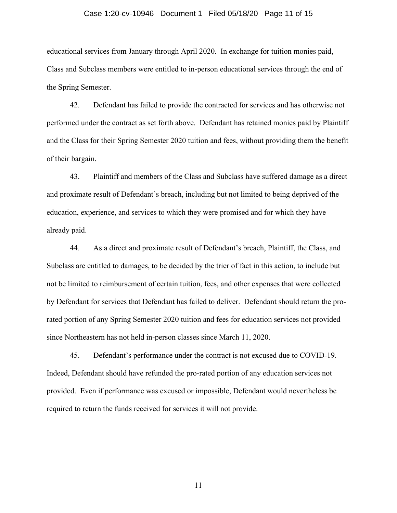#### Case 1:20-cv-10946 Document 1 Filed 05/18/20 Page 11 of 15

educational services from January through April 2020. In exchange for tuition monies paid, Class and Subclass members were entitled to in-person educational services through the end of the Spring Semester.

42. Defendant has failed to provide the contracted for services and has otherwise not performed under the contract as set forth above. Defendant has retained monies paid by Plaintiff and the Class for their Spring Semester 2020 tuition and fees, without providing them the benefit of their bargain.

43. Plaintiff and members of the Class and Subclass have suffered damage as a direct and proximate result of Defendant's breach, including but not limited to being deprived of the education, experience, and services to which they were promised and for which they have already paid.

44. As a direct and proximate result of Defendant's breach, Plaintiff, the Class, and Subclass are entitled to damages, to be decided by the trier of fact in this action, to include but not be limited to reimbursement of certain tuition, fees, and other expenses that were collected by Defendant for services that Defendant has failed to deliver. Defendant should return the prorated portion of any Spring Semester 2020 tuition and fees for education services not provided since Northeastern has not held in-person classes since March 11, 2020.

45. Defendant's performance under the contract is not excused due to COVID-19. Indeed, Defendant should have refunded the pro-rated portion of any education services not provided. Even if performance was excused or impossible, Defendant would nevertheless be required to return the funds received for services it will not provide.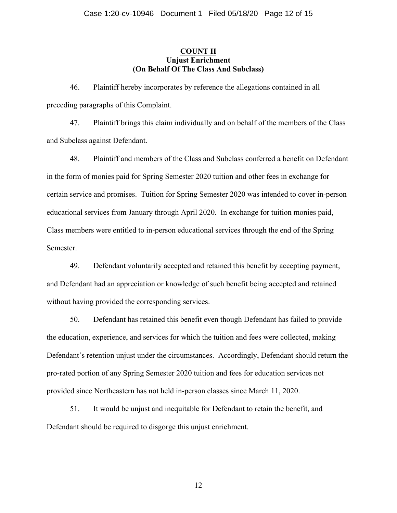# **COUNT II Unjust Enrichment (On Behalf Of The Class And Subclass)**

46. Plaintiff hereby incorporates by reference the allegations contained in all preceding paragraphs of this Complaint.

47. Plaintiff brings this claim individually and on behalf of the members of the Class and Subclass against Defendant.

48. Plaintiff and members of the Class and Subclass conferred a benefit on Defendant in the form of monies paid for Spring Semester 2020 tuition and other fees in exchange for certain service and promises. Tuition for Spring Semester 2020 was intended to cover in-person educational services from January through April 2020. In exchange for tuition monies paid, Class members were entitled to in-person educational services through the end of the Spring Semester.

49. Defendant voluntarily accepted and retained this benefit by accepting payment, and Defendant had an appreciation or knowledge of such benefit being accepted and retained without having provided the corresponding services.

50. Defendant has retained this benefit even though Defendant has failed to provide the education, experience, and services for which the tuition and fees were collected, making Defendant's retention unjust under the circumstances. Accordingly, Defendant should return the pro-rated portion of any Spring Semester 2020 tuition and fees for education services not provided since Northeastern has not held in-person classes since March 11, 2020.

51. It would be unjust and inequitable for Defendant to retain the benefit, and Defendant should be required to disgorge this unjust enrichment.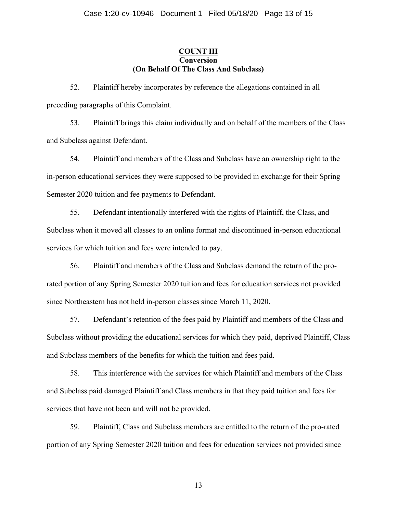## **COUNT III Conversion (On Behalf Of The Class And Subclass)**

52. Plaintiff hereby incorporates by reference the allegations contained in all preceding paragraphs of this Complaint.

53. Plaintiff brings this claim individually and on behalf of the members of the Class and Subclass against Defendant.

54. Plaintiff and members of the Class and Subclass have an ownership right to the in-person educational services they were supposed to be provided in exchange for their Spring Semester 2020 tuition and fee payments to Defendant.

55. Defendant intentionally interfered with the rights of Plaintiff, the Class, and Subclass when it moved all classes to an online format and discontinued in-person educational services for which tuition and fees were intended to pay.

56. Plaintiff and members of the Class and Subclass demand the return of the prorated portion of any Spring Semester 2020 tuition and fees for education services not provided since Northeastern has not held in-person classes since March 11, 2020.

57. Defendant's retention of the fees paid by Plaintiff and members of the Class and Subclass without providing the educational services for which they paid, deprived Plaintiff, Class and Subclass members of the benefits for which the tuition and fees paid.

58. This interference with the services for which Plaintiff and members of the Class and Subclass paid damaged Plaintiff and Class members in that they paid tuition and fees for services that have not been and will not be provided.

59. Plaintiff, Class and Subclass members are entitled to the return of the pro-rated portion of any Spring Semester 2020 tuition and fees for education services not provided since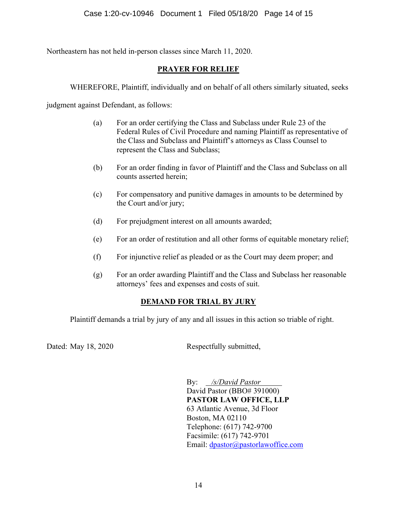Northeastern has not held in-person classes since March 11, 2020.

# **PRAYER FOR RELIEF**

WHEREFORE, Plaintiff, individually and on behalf of all others similarly situated, seeks

judgment against Defendant, as follows:

- (a) For an order certifying the Class and Subclass under Rule 23 of the Federal Rules of Civil Procedure and naming Plaintiff as representative of the Class and Subclass and Plaintiff's attorneys as Class Counsel to represent the Class and Subclass;
- (b) For an order finding in favor of Plaintiff and the Class and Subclass on all counts asserted herein;
- (c) For compensatory and punitive damages in amounts to be determined by the Court and/or jury;
- (d) For prejudgment interest on all amounts awarded;
- (e) For an order of restitution and all other forms of equitable monetary relief;
- (f) For injunctive relief as pleaded or as the Court may deem proper; and
- (g) For an order awarding Plaintiff and the Class and Subclass her reasonable attorneys' fees and expenses and costs of suit.

# **DEMAND FOR TRIAL BY JURY**

Plaintiff demands a trial by jury of any and all issues in this action so triable of right.

Dated: May 18, 2020 Respectfully submitted,

By: */s/David Pastor* David Pastor (BBO# 391000) **PASTOR LAW OFFICE, LLP**  63 Atlantic Avenue, 3d Floor Boston, MA 02110 Telephone: (617) 742-9700 Facsimile: (617) 742-9701 Email: dpastor@pastorlawoffice.com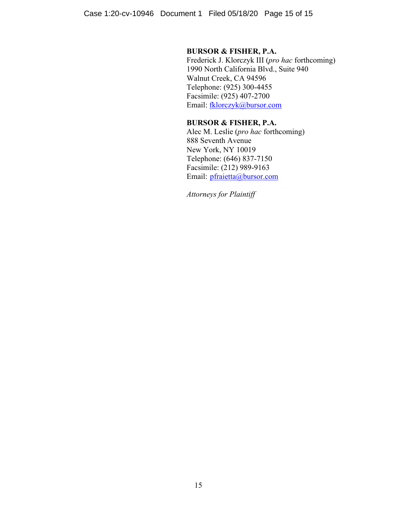# **BURSOR & FISHER, P.A.**

Frederick J. Klorczyk III (*pro hac* forthcoming) 1990 North California Blvd., Suite 940 Walnut Creek, CA 94596 Telephone: (925) 300-4455 Facsimile: (925) 407-2700 Email: fklorczyk@bursor.com

# **BURSOR & FISHER, P.A.**

Alec M. Leslie (*pro hac* forthcoming) 888 Seventh Avenue New York, NY 10019 Telephone: (646) 837-7150 Facsimile: (212) 989-9163 Email: pfraietta@bursor.com

*Attorneys for Plaintiff*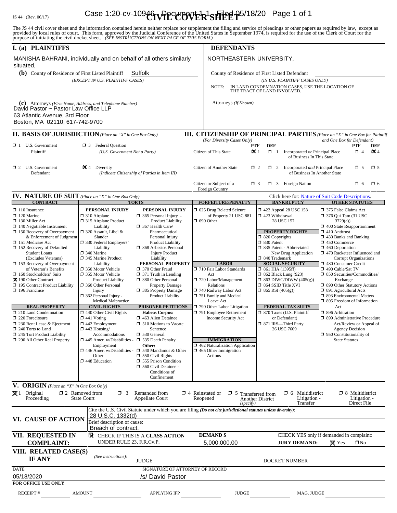# IS 44 (Rev. 06/17) **Case 1:20-cv-10946 UPPCLOVER<sup>1</sup>SHEE** P<sup>5/18/20</sup> Page 1 of 1

The JS 44 civil cover sheet and the information contained herein neither replace nor supplement the filing and service of pleadings or other papers as required by law, except as provided by local rules of court. This form,

| I. (a) PLAINTIFFS                                                                                                                                                   |                                                                                                                                                                                                                                                                                                                        |                                                        |                                                                                                                                        | <b>DEFENDANTS</b>                                                                                                                                                  |                                                                                                                                                                                                                 |                                                   |                                                                                                                                                                                                                                                                    |                                                       |             |  |
|---------------------------------------------------------------------------------------------------------------------------------------------------------------------|------------------------------------------------------------------------------------------------------------------------------------------------------------------------------------------------------------------------------------------------------------------------------------------------------------------------|--------------------------------------------------------|----------------------------------------------------------------------------------------------------------------------------------------|--------------------------------------------------------------------------------------------------------------------------------------------------------------------|-----------------------------------------------------------------------------------------------------------------------------------------------------------------------------------------------------------------|---------------------------------------------------|--------------------------------------------------------------------------------------------------------------------------------------------------------------------------------------------------------------------------------------------------------------------|-------------------------------------------------------|-------------|--|
| MANISHA BAHRANI, individually and on behalf of all others similarly<br>situated,                                                                                    |                                                                                                                                                                                                                                                                                                                        |                                                        |                                                                                                                                        | NORTHEASTERN UNIVERSITY,                                                                                                                                           |                                                                                                                                                                                                                 |                                                   |                                                                                                                                                                                                                                                                    |                                                       |             |  |
| (b) County of Residence of First Listed Plaintiff<br>Suffolk                                                                                                        |                                                                                                                                                                                                                                                                                                                        |                                                        |                                                                                                                                        | County of Residence of First Listed Defendant                                                                                                                      |                                                                                                                                                                                                                 |                                                   |                                                                                                                                                                                                                                                                    |                                                       |             |  |
| (EXCEPT IN U.S. PLAINTIFF CASES)                                                                                                                                    |                                                                                                                                                                                                                                                                                                                        |                                                        |                                                                                                                                        | (IN U.S. PLAINTIFF CASES ONLY)<br>IN LAND CONDEMNATION CASES, USE THE LOCATION OF<br>NOTE:<br>THE TRACT OF LAND INVOLVED.                                          |                                                                                                                                                                                                                 |                                                   |                                                                                                                                                                                                                                                                    |                                                       |             |  |
|                                                                                                                                                                     |                                                                                                                                                                                                                                                                                                                        |                                                        |                                                                                                                                        |                                                                                                                                                                    |                                                                                                                                                                                                                 |                                                   |                                                                                                                                                                                                                                                                    |                                                       |             |  |
| (c) Attorneys (Firm Name, Address, and Telephone Number)<br>David Pastor ~ Pastor Law Office LLP<br>63 Atlantic Avenue, 3rd Floor<br>Boston, MA 02110, 617-742-9700 |                                                                                                                                                                                                                                                                                                                        |                                                        |                                                                                                                                        | Attorneys (If Known)                                                                                                                                               |                                                                                                                                                                                                                 |                                                   |                                                                                                                                                                                                                                                                    |                                                       |             |  |
| <b>II. BASIS OF JURISDICTION</b> (Place an "X" in One Box Only)                                                                                                     |                                                                                                                                                                                                                                                                                                                        |                                                        |                                                                                                                                        | <b>III. CITIZENSHIP OF PRINCIPAL PARTIES</b> (Place an "X" in One Box for Plaintiff                                                                                |                                                                                                                                                                                                                 |                                                   |                                                                                                                                                                                                                                                                    |                                                       |             |  |
| U.S. Government<br><b>Federal Question</b><br>$\Box$ 1<br>$\Box$ 3                                                                                                  |                                                                                                                                                                                                                                                                                                                        |                                                        |                                                                                                                                        | (For Diversity Cases Only)<br>and One Box for Defendant)<br><b>PTF</b><br><b>DEF</b><br><b>PTF</b>                                                                 |                                                                                                                                                                                                                 |                                                   |                                                                                                                                                                                                                                                                    |                                                       |             |  |
| Plaintiff                                                                                                                                                           | (U.S. Government Not a Party)                                                                                                                                                                                                                                                                                          |                                                        |                                                                                                                                        | DEF<br>$\mathbf{\times}$ 1<br>Incorporated or Principal Place<br>$\mathbf{\times}$ 4<br>Citizen of This State<br>$\Box$ 1<br>$\Box$ 4<br>of Business In This State |                                                                                                                                                                                                                 |                                                   |                                                                                                                                                                                                                                                                    |                                                       |             |  |
| $\Box$ 2 U.S. Government<br>Defendant                                                                                                                               | $\times$ 4<br>Diversity<br>(Indicate Citizenship of Parties in Item III)                                                                                                                                                                                                                                               |                                                        |                                                                                                                                        | Citizen of Another State                                                                                                                                           | $\Box$ 2 Incorporated <i>and</i> Principal Place<br>$\Box$ 2<br>of Business In Another State                                                                                                                    |                                                   |                                                                                                                                                                                                                                                                    | $\Box$ 5                                              | $\square$ 5 |  |
|                                                                                                                                                                     |                                                                                                                                                                                                                                                                                                                        |                                                        |                                                                                                                                        | Citizen or Subject of a<br>$\Box$ 3 Foreign Nation<br>$\Box$ 6<br>$\Box$ 3<br>O 6<br>Foreign Country                                                               |                                                                                                                                                                                                                 |                                                   |                                                                                                                                                                                                                                                                    |                                                       |             |  |
| <b>IV. NATURE OF SUIT</b> (Place an "X" in One Box Only)<br><b>TORTS</b>                                                                                            |                                                                                                                                                                                                                                                                                                                        |                                                        |                                                                                                                                        |                                                                                                                                                                    |                                                                                                                                                                                                                 |                                                   | Click here for: Nature of Suit Code Descriptions.<br><b>OTHER STATUTES</b>                                                                                                                                                                                         |                                                       |             |  |
| <b>CONTRACT</b><br>$\Box$ 110 Insurance                                                                                                                             | PERSONAL INJURY                                                                                                                                                                                                                                                                                                        | PERSONAL INJURY                                        |                                                                                                                                        | <b>FORFEITURE/PENALTY</b><br>5 625 Drug Related Seizure                                                                                                            |                                                                                                                                                                                                                 | <b>BANKRUPTCY</b><br>$\Box$ 422 Appeal 28 USC 158 | 375 False Claims Act                                                                                                                                                                                                                                               |                                                       |             |  |
| $\Box$ 120 Marine<br>$\Box$ 130 Miller Act                                                                                                                          | $\Box$ 310 Airplane<br>$\Box$ 365 Personal Injury -<br>□ 315 Airplane Product<br>Product Liability                                                                                                                                                                                                                     |                                                        |                                                                                                                                        | of Property 21 USC 881<br>$\Box$ 690 Other                                                                                                                         |                                                                                                                                                                                                                 | 1 423 Withdrawal<br>28 USC 157                    |                                                                                                                                                                                                                                                                    | $\Box$ 376 Qui Tam (31 USC<br>3729(a)                 |             |  |
| $\Box$ 140 Negotiable Instrument<br>$\Box$ 150 Recovery of Overpayment                                                                                              | Liability<br>$\Box$ 320 Assault, Libel &                                                                                                                                                                                                                                                                               | 367 Health Care/<br>Pharmaceutical                     |                                                                                                                                        |                                                                                                                                                                    | <b>PROPERTY RIGHTS</b>                                                                                                                                                                                          |                                                   | $\Box$ 400 State Reapportionment<br>$\Box$ 410 Antitrust                                                                                                                                                                                                           |                                                       |             |  |
| & Enforcement of Judgment                                                                                                                                           | Slander                                                                                                                                                                                                                                                                                                                | Personal Injury                                        |                                                                                                                                        |                                                                                                                                                                    | $\Box$ 820 Copyrights                                                                                                                                                                                           |                                                   | 1 430 Banks and Banking                                                                                                                                                                                                                                            |                                                       |             |  |
| □ 151 Medicare Act<br>□ 152 Recovery of Defaulted                                                                                                                   | □ 330 Federal Employers'<br>Product Liability<br>Liability<br>368 Asbestos Personal                                                                                                                                                                                                                                    |                                                        |                                                                                                                                        |                                                                                                                                                                    |                                                                                                                                                                                                                 | □ 830 Patent<br>335 Patent - Abbreviated          |                                                                                                                                                                                                                                                                    | $\Box$ 450 Commerce<br>$\Box$ 460 Deportation         |             |  |
| □ 340 Marine<br><b>Student Loans</b><br>345 Marine Product<br>(Excludes Veterans)                                                                                   |                                                                                                                                                                                                                                                                                                                        | <b>Injury Product</b><br>Liability                     |                                                                                                                                        |                                                                                                                                                                    | New Drug Application<br>□ 840 Trademark<br><b>SOCIAL SECURITY</b><br>$\Box$ 861 HIA (1395ff)<br>$\Box$ 862 Black Lung (923)<br>$\Box$ 863 DIWC/DIWW (405(g))<br>□ 864 SSID Title XVI<br>$\Box$ 865 RSI (405(g)) |                                                   | 1 470 Racketeer Influenced and<br><b>Corrupt Organizations</b><br>480 Consumer Credit<br>□ 490 Cable/Sat TV<br>$\Box$ 850 Securities/Commodities/<br>Exchange<br>□ 890 Other Statutory Actions<br>$\Box$ 891 Agricultural Acts<br>$\Box$ 893 Environmental Matters |                                                       |             |  |
| $\Box$ 153 Recovery of Overpayment<br>of Veteran's Benefits                                                                                                         | PERSONAL PROPERTY<br>Liability<br>□ 350 Motor Vehicle<br>370 Other Fraud<br>□ 355 Motor Vehicle<br>$\Box$ 371 Truth in Lending<br>380 Other Personal<br><b>Product Liability</b><br>360 Other Personal<br><b>Property Damage</b><br>385 Property Damage<br>Injury<br>$\Box$ 362 Personal Injury -<br>Product Liability |                                                        |                                                                                                                                        | <b>LABOR</b><br>710 Fair Labor Standards                                                                                                                           |                                                                                                                                                                                                                 |                                                   |                                                                                                                                                                                                                                                                    |                                                       |             |  |
| $\Box$ 160 Stockholders' Suits<br>又 190 Other Contract                                                                                                              |                                                                                                                                                                                                                                                                                                                        |                                                        |                                                                                                                                        | Act<br>720 Labor/Management                                                                                                                                        |                                                                                                                                                                                                                 |                                                   |                                                                                                                                                                                                                                                                    |                                                       |             |  |
| 195 Contract Product Liability                                                                                                                                      |                                                                                                                                                                                                                                                                                                                        |                                                        |                                                                                                                                        | Relations                                                                                                                                                          |                                                                                                                                                                                                                 |                                                   |                                                                                                                                                                                                                                                                    |                                                       |             |  |
| $\Box$ 196 Franchise                                                                                                                                                |                                                                                                                                                                                                                                                                                                                        |                                                        |                                                                                                                                        | 740 Railway Labor Act<br>751 Family and Medical                                                                                                                    |                                                                                                                                                                                                                 |                                                   |                                                                                                                                                                                                                                                                    |                                                       |             |  |
| <b>REAL PROPERTY</b>                                                                                                                                                | <b>Medical Malpractice</b><br><b>CIVIL RIGHTS</b>                                                                                                                                                                                                                                                                      | <b>PRISONER PETITIONS</b>                              |                                                                                                                                        | Leave Act<br>$\Box$ 790 Other Labor Litigation                                                                                                                     |                                                                                                                                                                                                                 | <b>FEDERAL TAX SUITS</b>                          | $\Box$ 895 Freedom of Information<br>Act                                                                                                                                                                                                                           |                                                       |             |  |
| $\Box$ 210 Land Condemnation<br>220 Foreclosure                                                                                                                     | $\Box$ 440 Other Civil Rights<br>$\Box$ 441 Voting                                                                                                                                                                                                                                                                     | <b>Habeas Corpus:</b><br>463 Alien Detainee            |                                                                                                                                        | 791 Employee Retirement<br><b>Income Security Act</b>                                                                                                              |                                                                                                                                                                                                                 | 7 870 Taxes (U.S. Plaintiff<br>or Defendant)      | $\Box$ 896 Arbitration<br>$\Box$ 899 Administrative Procedure                                                                                                                                                                                                      |                                                       |             |  |
| $\Box$ 230 Rent Lease & Ejectment                                                                                                                                   | $\Box$ 442 Employment<br><b>1.</b> 510 Motions to Vacate<br>$\Box$ 443 Housing/<br>Sentence<br>Accommodations<br>$\Box$ 530 General<br>$\Box$ 445 Amer. w/Disabilities -<br>535 Death Penalty<br>Other:<br>Employment                                                                                                  |                                                        |                                                                                                                                        |                                                                                                                                                                    | □ 871 IRS-Third Party<br>26 USC 7609                                                                                                                                                                            |                                                   | Act/Review or Appeal of                                                                                                                                                                                                                                            |                                                       |             |  |
| $\Box$ 240 Torts to Land<br>245 Tort Product Liability                                                                                                              |                                                                                                                                                                                                                                                                                                                        |                                                        |                                                                                                                                        |                                                                                                                                                                    |                                                                                                                                                                                                                 |                                                   | <b>Agency Decision</b><br>$\Box$ 950 Constitutionality of                                                                                                                                                                                                          |                                                       |             |  |
| 290 All Other Real Property                                                                                                                                         |                                                                                                                                                                                                                                                                                                                        |                                                        |                                                                                                                                        | <b>IMMIGRATION</b><br>□ 462 Naturalization Application                                                                                                             |                                                                                                                                                                                                                 |                                                   |                                                                                                                                                                                                                                                                    | <b>State Statutes</b>                                 |             |  |
|                                                                                                                                                                     | 446 Amer. w/Disabilities<br>Other                                                                                                                                                                                                                                                                                      | $\Box$ 540 Mandamus & Other<br>$\Box$ 550 Civil Rights |                                                                                                                                        | $\Box$ 465 Other Immigration<br>Actions                                                                                                                            |                                                                                                                                                                                                                 |                                                   |                                                                                                                                                                                                                                                                    |                                                       |             |  |
|                                                                                                                                                                     | 448 Education                                                                                                                                                                                                                                                                                                          | 555 Prison Condition<br>1 560 Civil Detainee -         |                                                                                                                                        |                                                                                                                                                                    |                                                                                                                                                                                                                 |                                                   |                                                                                                                                                                                                                                                                    |                                                       |             |  |
|                                                                                                                                                                     |                                                                                                                                                                                                                                                                                                                        | Conditions of                                          |                                                                                                                                        |                                                                                                                                                                    |                                                                                                                                                                                                                 |                                                   |                                                                                                                                                                                                                                                                    |                                                       |             |  |
| <b>V. ORIGIN</b> (Place an "X" in One Box Only)                                                                                                                     |                                                                                                                                                                                                                                                                                                                        | Confinement                                            |                                                                                                                                        |                                                                                                                                                                    |                                                                                                                                                                                                                 |                                                   |                                                                                                                                                                                                                                                                    |                                                       |             |  |
| $\mathbf{\overline{X}}$ 1 Original<br>Proceeding                                                                                                                    | $\square$ 2 Removed from<br>$\Box$ 3<br><b>State Court</b>                                                                                                                                                                                                                                                             | Remanded from<br><b>Appellate Court</b>                |                                                                                                                                        | $\Box$ 4 Reinstated or<br>$\Box$ 5 Transferred from<br>Reopened<br>(specify)                                                                                       | <b>Another District</b>                                                                                                                                                                                         | Multidistrict<br>□ 6<br>Litigation -<br>Transfer  |                                                                                                                                                                                                                                                                    | $\Box$ 8 Multidistrict<br>Litigation -<br>Direct File |             |  |
|                                                                                                                                                                     |                                                                                                                                                                                                                                                                                                                        |                                                        |                                                                                                                                        | Cite the U.S. Civil Statute under which you are filing (Do not cite jurisdictional statutes unless diversity):                                                     |                                                                                                                                                                                                                 |                                                   |                                                                                                                                                                                                                                                                    |                                                       |             |  |
| VI. CAUSE OF ACTION                                                                                                                                                 | 28 U.S.C. 1332(d)<br>Brief description of cause:                                                                                                                                                                                                                                                                       |                                                        |                                                                                                                                        |                                                                                                                                                                    |                                                                                                                                                                                                                 |                                                   |                                                                                                                                                                                                                                                                    |                                                       |             |  |
|                                                                                                                                                                     | Breach of contract.                                                                                                                                                                                                                                                                                                    |                                                        |                                                                                                                                        |                                                                                                                                                                    |                                                                                                                                                                                                                 |                                                   |                                                                                                                                                                                                                                                                    |                                                       |             |  |
| VII. REQUESTED IN<br>⊠<br>CHECK IF THIS IS A CLASS ACTION<br>UNDER RULE 23, F.R.Cv.P.<br><b>COMPLAINT:</b>                                                          |                                                                                                                                                                                                                                                                                                                        |                                                        | <b>DEMAND</b> \$<br>CHECK YES only if demanded in complaint:<br>5,000,000.00<br><b>JURY DEMAND:</b><br>$\boxtimes$ Yes<br>$\square$ No |                                                                                                                                                                    |                                                                                                                                                                                                                 |                                                   |                                                                                                                                                                                                                                                                    |                                                       |             |  |
| VIII. RELATED CASE(S)<br>IF ANY                                                                                                                                     | (See instructions):<br><b>JUDGE</b>                                                                                                                                                                                                                                                                                    |                                                        |                                                                                                                                        | DOCKET NUMBER                                                                                                                                                      |                                                                                                                                                                                                                 |                                                   |                                                                                                                                                                                                                                                                    |                                                       |             |  |
| <b>DATE</b>                                                                                                                                                         |                                                                                                                                                                                                                                                                                                                        | SIGNATURE OF ATTORNEY OF RECORD                        |                                                                                                                                        |                                                                                                                                                                    |                                                                                                                                                                                                                 |                                                   |                                                                                                                                                                                                                                                                    |                                                       |             |  |
| 05/18/2020<br><b>FOR OFFICE USE ONLY</b>                                                                                                                            | /s/ David Pastor                                                                                                                                                                                                                                                                                                       |                                                        |                                                                                                                                        |                                                                                                                                                                    |                                                                                                                                                                                                                 |                                                   |                                                                                                                                                                                                                                                                    |                                                       |             |  |
|                                                                                                                                                                     |                                                                                                                                                                                                                                                                                                                        |                                                        |                                                                                                                                        |                                                                                                                                                                    |                                                                                                                                                                                                                 |                                                   |                                                                                                                                                                                                                                                                    |                                                       |             |  |
| <b>RECEIPT#</b>                                                                                                                                                     | <b>AMOUNT</b>                                                                                                                                                                                                                                                                                                          | <b>APPLYING IFP</b>                                    |                                                                                                                                        | <b>JUDGE</b>                                                                                                                                                       |                                                                                                                                                                                                                 | MAG. JUDGE                                        |                                                                                                                                                                                                                                                                    |                                                       |             |  |